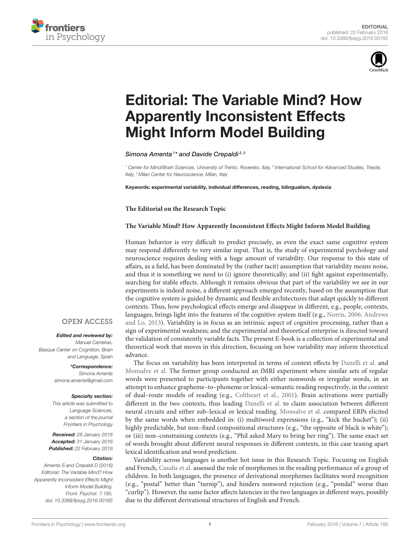



# [Editorial: The Variable Mind? How](http://journal.frontiersin.org/article/10.3389/fpsyg.2016.00185/full) Apparently Inconsistent Effects Might Inform Model Building

[Simona Amenta](http://loop.frontiersin.org/people/39447/overview)<sup>1\*</sup> and [Davide Crepaldi](http://loop.frontiersin.org/people/39441/overview)<sup>2, 3</sup>

<sup>1</sup> Center for Mind/Brain Sciences, University of Trento, Rovereto, Italy, <sup>2</sup> International School for Advanced Studies, Trieste, Italy, <sup>3</sup> Milan Center for Neuroscience, Milan, Italy

Keywords: experimental variability, individual differences, reading, bilingualism, dyslexia

**The Editorial on the Research Topic**

#### **[The Variable Mind? How Apparently Inconsistent E](http://journal.frontiersin.org/researchtopic/1760/the-variable-mind-how-apparently-inconsistent-effects-might-inform-model-building)ffects Might Inform Model Building**

Human behavior is very difficult to predict precisely, as even the exact same cognitive system may respond differently to very similar input. That is, the study of experimental psychology and neuroscience requires dealing with a huge amount of variability. Our response to this state of affairs, as a field, has been dominated by the (rather tacit) assumption that variability means noise, and thus it is something we need to (i) ignore theoretically; and (ii) fight against experimentally, searching for stable effects. Although it remains obvious that part of the variability we see in our experiments is indeed noise, a different approach emerged recently, based on the assumption that the cognitive system is guided by dynamic and flexible architectures that adapt quickly to different contexts. Thus, how psychological effects emerge and disappear in different, e.g., people, contexts, languages, brings light into the features of the cognitive system itself (e.g., [Norris, 2006;](#page-1-0) Andrews and Lo, [2013\)](#page-1-1). Variability is in focus as an intrinsic aspect of cognitive processing, rather than a sign of experimental weakness; and the experimental and theoretical enterprise is directed toward the validation of consistently variable facts. The present E-book is a collection of experimental and theoretical work that moves in this direction, focusing on how variability may inform theoretical advance.

The focus on variability has been interpreted in terms of context effects by [Danelli et al.](http://dx.doi.org/10.3389/fpsyg.2015.01328) and [Monsalve et al.](http://dx.doi.org/10.3389/fpsyg.2014.00847) The former group conducted an fMRI experiment where similar sets of regular words were presented to participants together with either nonwords or irregular words, in an attempt to enhance grapheme–to–phoneme or lexical–semantic reading respectively, in the context of dual–route models of reading (e.g., [Coltheart et al., 2001\)](#page-1-2). Brain activations were partially different in the two contexts, thus leading [Danelli et al.](http://dx.doi.org/10.3389/fpsyg.2015.01328) to claim association between different neural circuits and either sub–lexical or lexical reading. [Monsalve et al.](http://dx.doi.org/10.3389/fpsyg.2014.00847) compared ERPs elicited by the same words when embedded in: (i) multiword expressions (e.g., "kick the bucket"); (ii) highly predictable, but non–fixed compositional structures (e.g., "the opposite of black is white"); or (iii) non–constraining contexts (e.g., "Phil asked Mary to bring her ring"). The same exact set of words brought about different neural responses in different contexts, in this case teasing apart lexical identification and word prediction.

Variability across languages is another hot issue in this Research Topic. Focusing on English and French, [Casalis et al.](http://dx.doi.org/10.3389/fpsyg.2015.00452) assessed the role of morphemes in the reading performance of a group of children. In both languages, the presence of derivational morphemes facilitates word recognition (e.g., "postal" better than "turnip"), and hinders nonword rejection (e.g., "pondal" worse than "curlip"). However, the same factor affects latencies in the two languages in different ways, possibly due to the different derivational structures of English and French.

## **OPEN ACCESS**

### Edited and reviewed by:

Manuel Carreiras, Basque Center on Cognition, Brain and Language, Spain

> \*Correspondence: Simona Amenta [simona.amenta@gmail.com](mailto:simona.amenta@gmail.com)

#### Specialty section:

This article was submitted to Language Sciences, a section of the journal Frontiers in Psychology

Received: 28 January 2016 Accepted: 31 January 2016 Published: 22 February 2016

#### Citation:

Amenta S and Crepaldi D (2016) Editorial: The Variable Mind? How Apparently Inconsistent Effects Might Inform Model Building. Front. Psychol. 7:185. doi: [10.3389/fpsyg.2016.00185](http://dx.doi.org/10.3389/fpsyg.2016.00185)